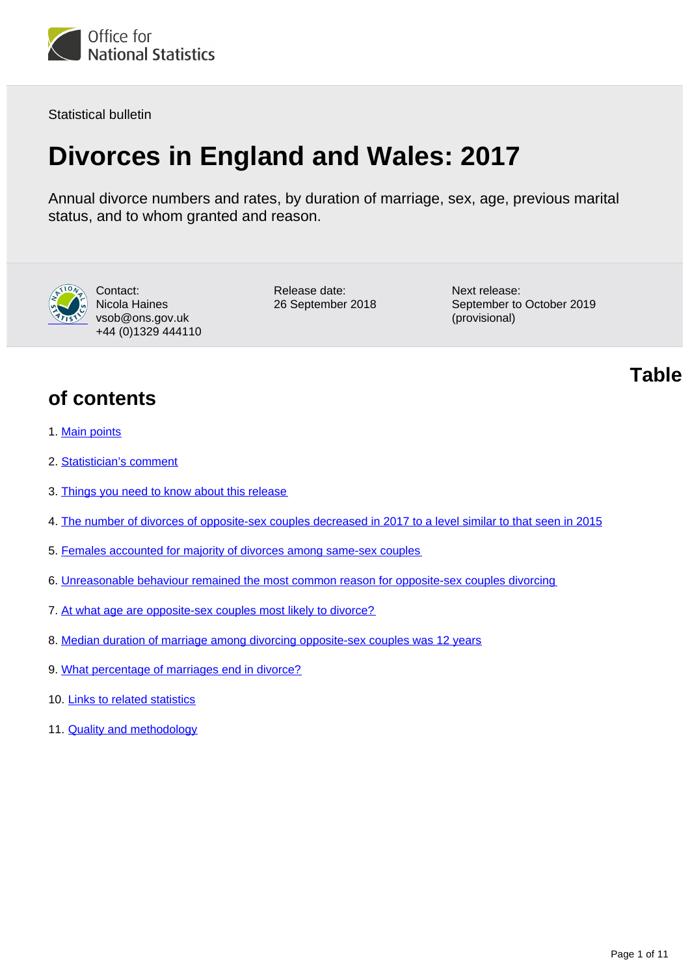

Statistical bulletin

# **Divorces in England and Wales: 2017**

Annual divorce numbers and rates, by duration of marriage, sex, age, previous marital status, and to whom granted and reason.



Contact: Nicola Haines vsob@ons.gov.uk +44 (0)1329 444110 Release date: 26 September 2018 Next release: September to October 2019 (provisional)

# **Table**

- **of contents**
- 1. [Main points](#page-1-0)
- 2. [Statistician's comment](#page-1-1)
- 3. [Things you need to know about this release](#page-1-2)
- 4. [The number of divorces of opposite-sex couples decreased in 2017 to a level similar to that seen in 2015](#page-2-0)
- 5. [Females accounted for majority of divorces among same-sex couples](#page-4-0)
- 6. [Unreasonable behaviour remained the most common reason for opposite-sex couples divorcing](#page-5-0)
- 7. [At what age are opposite-sex couples most likely to divorce?](#page-5-1)
- 8. [Median duration of marriage among divorcing opposite-sex couples was 12 years](#page-7-0)
- 9. [What percentage of marriages end in divorce?](#page-8-0)
- 10. [Links to related statistics](#page-9-0)
- 11. [Quality and methodology](#page-9-1)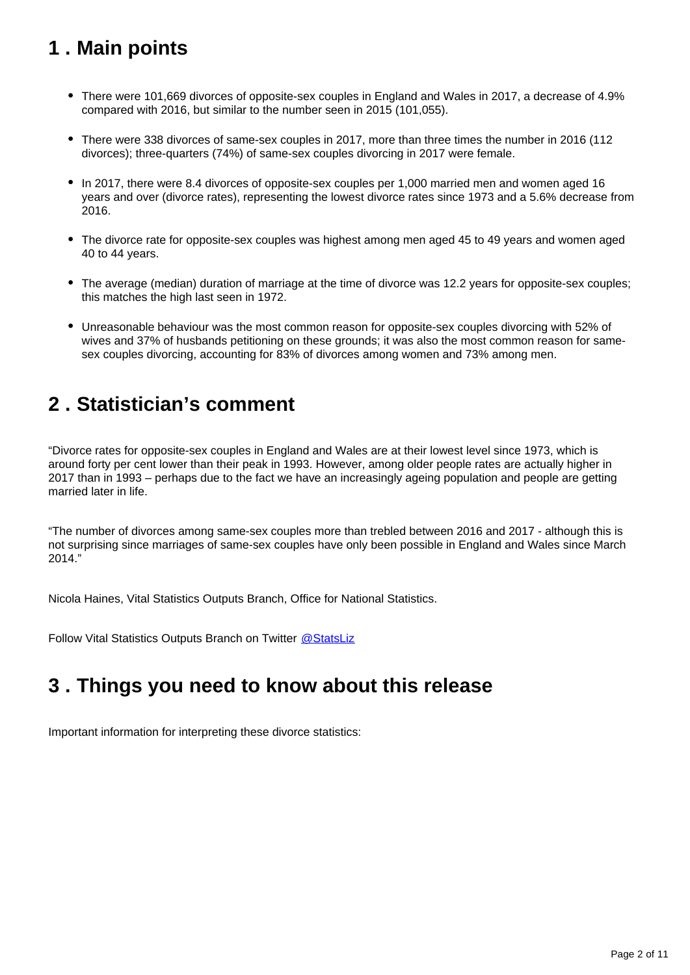# <span id="page-1-0"></span>**1 . Main points**

- There were 101,669 divorces of opposite-sex couples in England and Wales in 2017, a decrease of 4.9% compared with 2016, but similar to the number seen in 2015 (101,055).
- There were 338 divorces of same-sex couples in 2017, more than three times the number in 2016 (112 divorces); three-quarters (74%) of same-sex couples divorcing in 2017 were female.
- In 2017, there were 8.4 divorces of opposite-sex couples per 1,000 married men and women aged 16 years and over (divorce rates), representing the lowest divorce rates since 1973 and a 5.6% decrease from 2016.
- The divorce rate for opposite-sex couples was highest among men aged 45 to 49 years and women aged 40 to 44 years.
- The average (median) duration of marriage at the time of divorce was 12.2 years for opposite-sex couples; this matches the high last seen in 1972.
- Unreasonable behaviour was the most common reason for opposite-sex couples divorcing with 52% of wives and 37% of husbands petitioning on these grounds; it was also the most common reason for samesex couples divorcing, accounting for 83% of divorces among women and 73% among men.

# <span id="page-1-1"></span>**2 . Statistician's comment**

"Divorce rates for opposite-sex couples in England and Wales are at their lowest level since 1973, which is around forty per cent lower than their peak in 1993. However, among older people rates are actually higher in 2017 than in 1993 – perhaps due to the fact we have an increasingly ageing population and people are getting married later in life.

"The number of divorces among same-sex couples more than trebled between 2016 and 2017 - although this is not surprising since marriages of same-sex couples have only been possible in England and Wales since March 2014."

Nicola Haines, Vital Statistics Outputs Branch, Office for National Statistics.

Follow Vital Statistics Outputs Branch on Twitter @ StatsLiz

# <span id="page-1-2"></span>**3 . Things you need to know about this release**

Important information for interpreting these divorce statistics: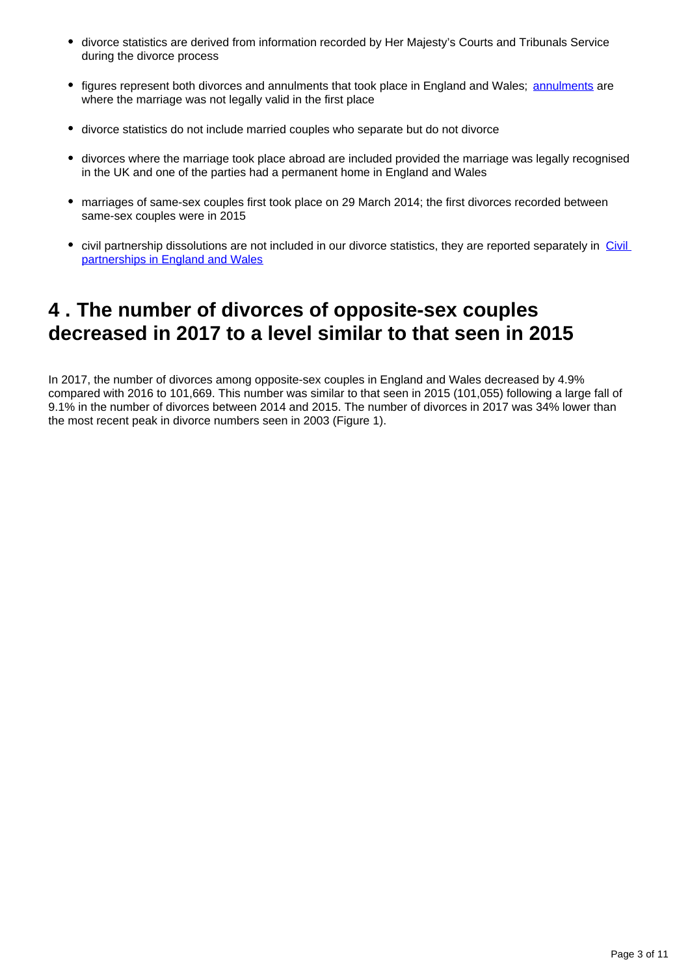- divorce statistics are derived from information recorded by Her Majesty's Courts and Tribunals Service during the divorce process
- figures represent both divorces and [annulments](https://www.gov.uk/how-to-annul-marriage/when-you-can-annul-a-marriage) that took place in England and Wales; annulments are where the marriage was not legally valid in the first place
- divorce statistics do not include married couples who separate but do not divorce
- divorces where the marriage took place abroad are included provided the marriage was legally recognised in the UK and one of the parties had a permanent home in England and Wales
- marriages of same-sex couples first took place on 29 March 2014; the first divorces recorded between same-sex couples were in 2015
- civil partnership dissolutions are not included in our divorce statistics, they are reported separately in Civil [partnerships in England and Wales](https://www.ons.gov.uk/peoplepopulationandcommunity/birthsdeathsandmarriages/marriagecohabitationandcivilpartnerships/bulletins/civilpartnershipsinenglandandwales/previousReleases)

### <span id="page-2-0"></span>**4 . The number of divorces of opposite-sex couples decreased in 2017 to a level similar to that seen in 2015**

In 2017, the number of divorces among opposite-sex couples in England and Wales decreased by 4.9% compared with 2016 to 101,669. This number was similar to that seen in 2015 (101,055) following a large fall of 9.1% in the number of divorces between 2014 and 2015. The number of divorces in 2017 was 34% lower than the most recent peak in divorce numbers seen in 2003 (Figure 1).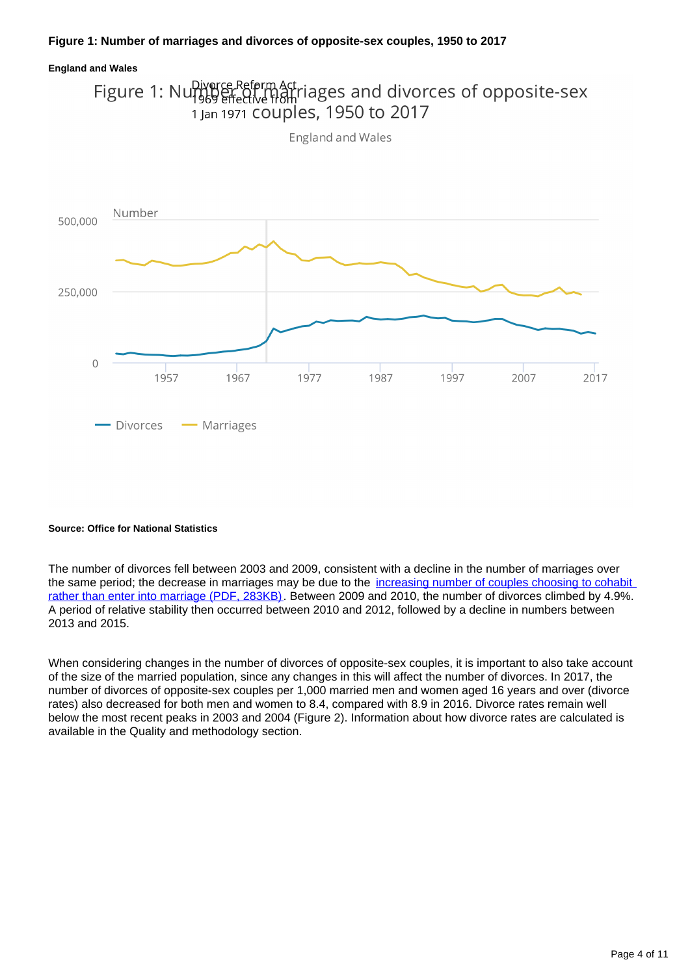### **Figure 1: Number of marriages and divorces of opposite-sex couples, 1950 to 2017**



#### **Source: Office for National Statistics**

The number of divorces fell between 2003 and 2009, consistent with a decline in the number of marriages over the same period; the decrease in marriages may be due to the increasing number of couples choosing to cohabit [rather than enter into marriage \(PDF, 283KB\).](http://webarchive.nationalarchives.gov.uk/20160105160709/http:/www.ons.gov.uk/ons/rel/population-trends-rd/population-trends/no--145--autumn-2011/ard-pt145-cohab-marriage-trends.pdf) Between 2009 and 2010, the number of divorces climbed by 4.9%. A period of relative stability then occurred between 2010 and 2012, followed by a decline in numbers between 2013 and 2015.

When considering changes in the number of divorces of opposite-sex couples, it is important to also take account of the size of the married population, since any changes in this will affect the number of divorces. In 2017, the number of divorces of opposite-sex couples per 1,000 married men and women aged 16 years and over (divorce rates) also decreased for both men and women to 8.4, compared with 8.9 in 2016. Divorce rates remain well below the most recent peaks in 2003 and 2004 (Figure 2). Information about how divorce rates are calculated is available in the Quality and methodology section.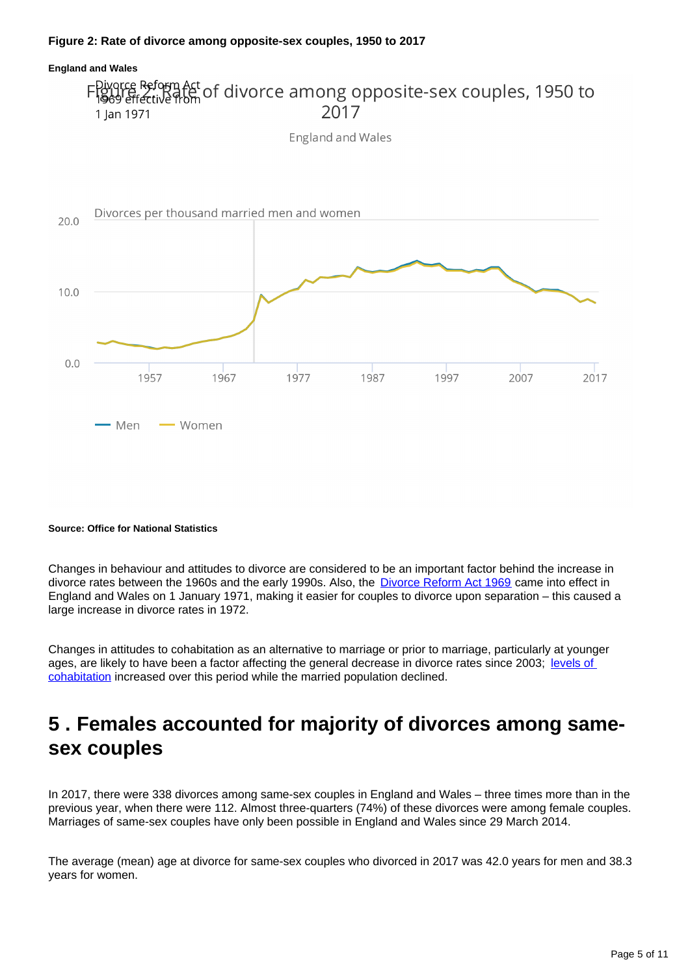### **Figure 2: Rate of divorce among opposite-sex couples, 1950 to 2017**



#### **Source: Office for National Statistics**

Changes in behaviour and attitudes to divorce are considered to be an important factor behind the increase in divorce rates between the 1960s and the early 1990s. Also, the [Divorce Reform Act 1969](https://www.legislation.gov.uk/ukpga/1969/55/contents/enacted) came into effect in England and Wales on 1 January 1971, making it easier for couples to divorce upon separation – this caused a large increase in divorce rates in 1972.

Changes in attitudes to cohabitation as an alternative to marriage or prior to marriage, particularly at younger ages, are likely to have been a factor affecting the general decrease in divorce rates since 2003; levels of [cohabitation](https://www.ons.gov.uk/peoplepopulationandcommunity/populationandmigration/populationestimates/bulletins/populationestimatesbymaritalstatusandlivingarrangements/2002to2017) increased over this period while the married population declined.

### <span id="page-4-0"></span>**5 . Females accounted for majority of divorces among samesex couples**

In 2017, there were 338 divorces among same-sex couples in England and Wales – three times more than in the previous year, when there were 112. Almost three-quarters (74%) of these divorces were among female couples. Marriages of same-sex couples have only been possible in England and Wales since 29 March 2014.

The average (mean) age at divorce for same-sex couples who divorced in 2017 was 42.0 years for men and 38.3 years for women.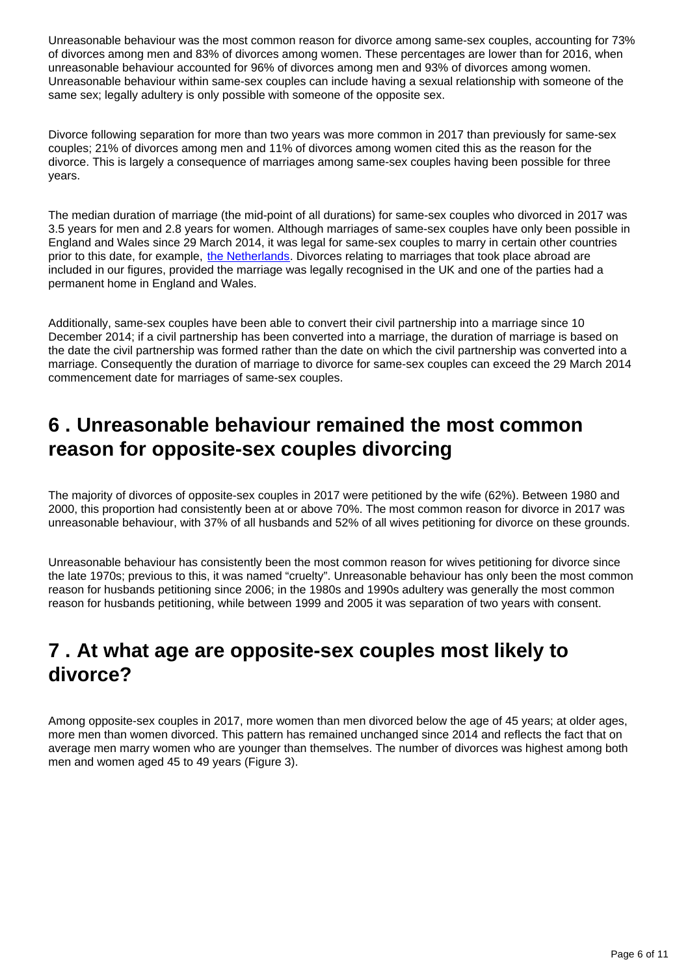Unreasonable behaviour was the most common reason for divorce among same-sex couples, accounting for 73% of divorces among men and 83% of divorces among women. These percentages are lower than for 2016, when unreasonable behaviour accounted for 96% of divorces among men and 93% of divorces among women. Unreasonable behaviour within same-sex couples can include having a sexual relationship with someone of the same sex; legally adultery is only possible with someone of the opposite sex.

Divorce following separation for more than two years was more common in 2017 than previously for same-sex couples; 21% of divorces among men and 11% of divorces among women cited this as the reason for the divorce. This is largely a consequence of marriages among same-sex couples having been possible for three years.

The median duration of marriage (the mid-point of all durations) for same-sex couples who divorced in 2017 was 3.5 years for men and 2.8 years for women. Although marriages of same-sex couples have only been possible in England and Wales since 29 March 2014, it was legal for same-sex couples to marry in certain other countries prior to this date, for example, [the Netherlands](https://www.government.nl/topics/family-law/contents/same-sex-marriage). Divorces relating to marriages that took place abroad are included in our figures, provided the marriage was legally recognised in the UK and one of the parties had a permanent home in England and Wales.

Additionally, same-sex couples have been able to convert their civil partnership into a marriage since 10 December 2014; if a civil partnership has been converted into a marriage, the duration of marriage is based on the date the civil partnership was formed rather than the date on which the civil partnership was converted into a marriage. Consequently the duration of marriage to divorce for same-sex couples can exceed the 29 March 2014 commencement date for marriages of same-sex couples.

# <span id="page-5-0"></span>**6 . Unreasonable behaviour remained the most common reason for opposite-sex couples divorcing**

The majority of divorces of opposite-sex couples in 2017 were petitioned by the wife (62%). Between 1980 and 2000, this proportion had consistently been at or above 70%. The most common reason for divorce in 2017 was unreasonable behaviour, with 37% of all husbands and 52% of all wives petitioning for divorce on these grounds.

Unreasonable behaviour has consistently been the most common reason for wives petitioning for divorce since the late 1970s; previous to this, it was named "cruelty". Unreasonable behaviour has only been the most common reason for husbands petitioning since 2006; in the 1980s and 1990s adultery was generally the most common reason for husbands petitioning, while between 1999 and 2005 it was separation of two years with consent.

### <span id="page-5-1"></span>**7 . At what age are opposite-sex couples most likely to divorce?**

Among opposite-sex couples in 2017, more women than men divorced below the age of 45 years; at older ages, more men than women divorced. This pattern has remained unchanged since 2014 and reflects the fact that on average men marry women who are younger than themselves. The number of divorces was highest among both men and women aged 45 to 49 years (Figure 3).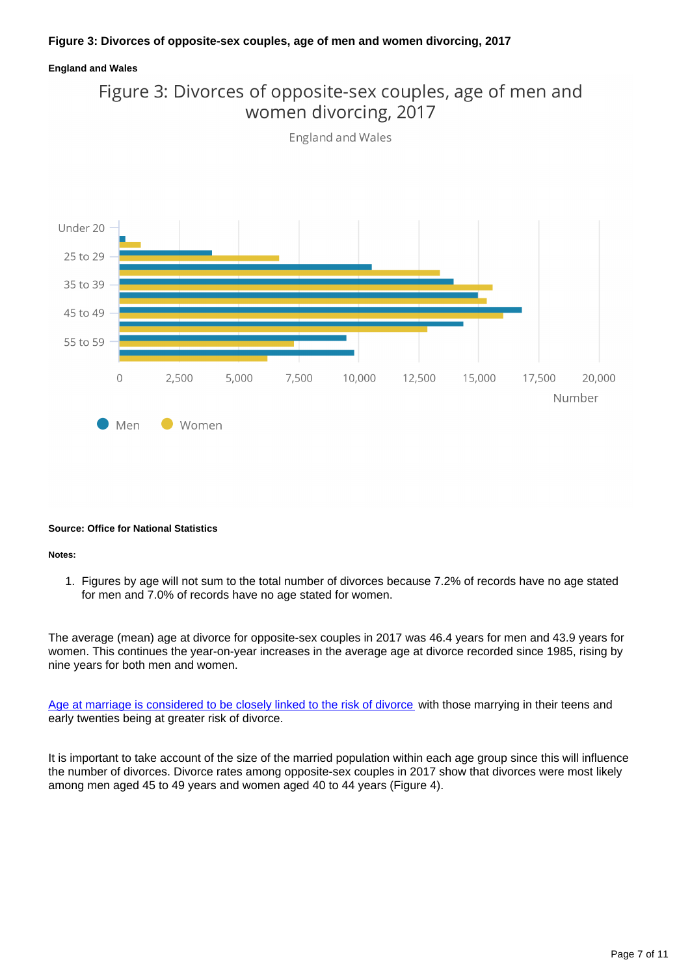### **Figure 3: Divorces of opposite-sex couples, age of men and women divorcing, 2017**

### **England and Wales**





#### **Source: Office for National Statistics**

#### **Notes:**

1. Figures by age will not sum to the total number of divorces because 7.2% of records have no age stated for men and 7.0% of records have no age stated for women.

The average (mean) age at divorce for opposite-sex couples in 2017 was 46.4 years for men and 43.9 years for women. This continues the year-on-year increases in the average age at divorce recorded since 1985, rising by nine years for both men and women.

[Age at marriage is considered to be closely linked to the risk of divorce](http://webarchive.nationalarchives.gov.uk/20160105160709/http:/www.ons.gov.uk/ons/rel/vsob1/divorces-in-england-and-wales/2011/sty-what-percentage-of-marriages-end-in-divorce.html) with those marrying in their teens and early twenties being at greater risk of divorce.

It is important to take account of the size of the married population within each age group since this will influence the number of divorces. Divorce rates among opposite-sex couples in 2017 show that divorces were most likely among men aged 45 to 49 years and women aged 40 to 44 years (Figure 4).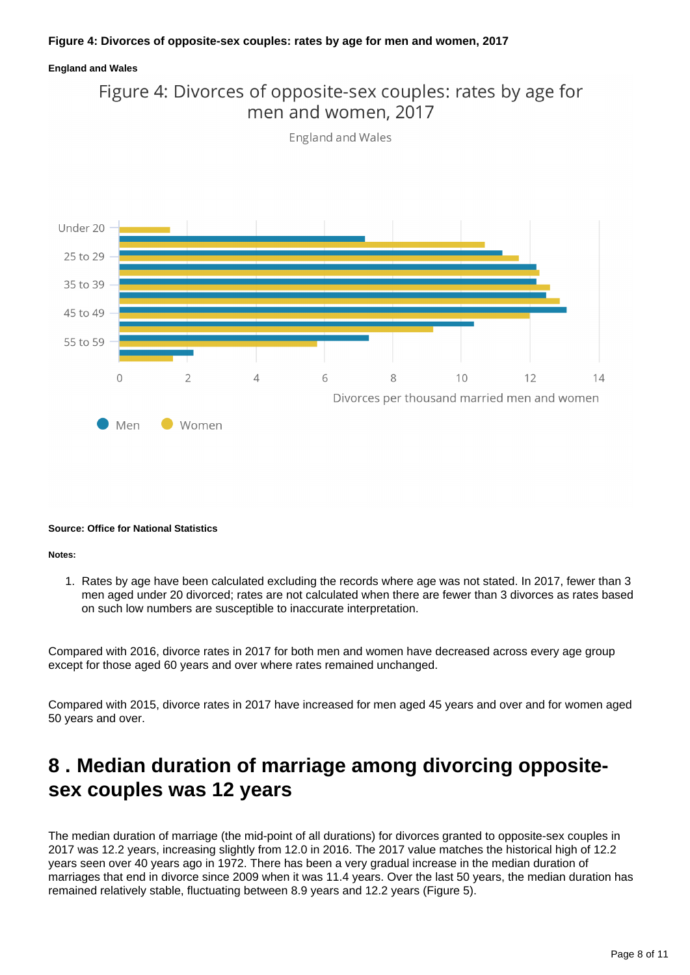### **Figure 4: Divorces of opposite-sex couples: rates by age for men and women, 2017**

### **England and Wales**



**England and Wales** 



#### **Source: Office for National Statistics**

#### **Notes:**

1. Rates by age have been calculated excluding the records where age was not stated. In 2017, fewer than 3 men aged under 20 divorced; rates are not calculated when there are fewer than 3 divorces as rates based on such low numbers are susceptible to inaccurate interpretation.

Compared with 2016, divorce rates in 2017 for both men and women have decreased across every age group except for those aged 60 years and over where rates remained unchanged.

Compared with 2015, divorce rates in 2017 have increased for men aged 45 years and over and for women aged 50 years and over.

### <span id="page-7-0"></span>**8 . Median duration of marriage among divorcing oppositesex couples was 12 years**

The median duration of marriage (the mid-point of all durations) for divorces granted to opposite-sex couples in 2017 was 12.2 years, increasing slightly from 12.0 in 2016. The 2017 value matches the historical high of 12.2 years seen over 40 years ago in 1972. There has been a very gradual increase in the median duration of marriages that end in divorce since 2009 when it was 11.4 years. Over the last 50 years, the median duration has remained relatively stable, fluctuating between 8.9 years and 12.2 years (Figure 5).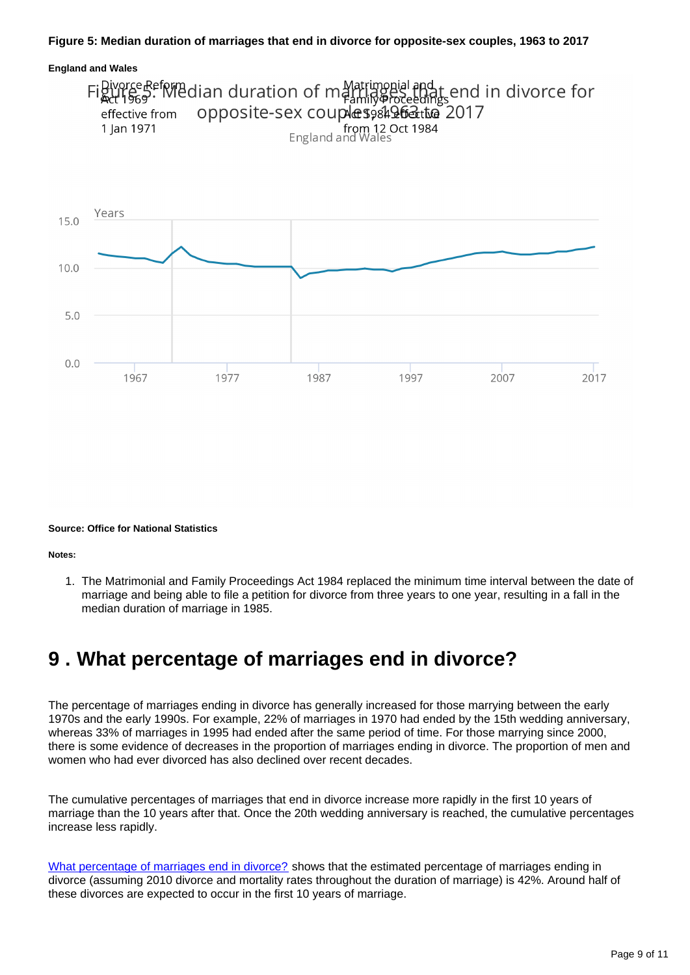### **Figure 5: Median duration of marriages that end in divorce for opposite-sex couples, 1963 to 2017**



#### **Source: Office for National Statistics**

**Notes:**

1. The Matrimonial and Family Proceedings Act 1984 replaced the minimum time interval between the date of marriage and being able to file a petition for divorce from three years to one year, resulting in a fall in the median duration of marriage in 1985.

### <span id="page-8-0"></span>**9 . What percentage of marriages end in divorce?**

The percentage of marriages ending in divorce has generally increased for those marrying between the early 1970s and the early 1990s. For example, 22% of marriages in 1970 had ended by the 15th wedding anniversary, whereas 33% of marriages in 1995 had ended after the same period of time. For those marrying since 2000, there is some evidence of decreases in the proportion of marriages ending in divorce. The proportion of men and women who had ever divorced has also declined over recent decades.

The cumulative percentages of marriages that end in divorce increase more rapidly in the first 10 years of marriage than the 10 years after that. Once the 20th wedding anniversary is reached, the cumulative percentages increase less rapidly.

[What percentage of marriages end in divorce?](http://webarchive.nationalarchives.gov.uk/20160105160709/http:/www.ons.gov.uk/ons/rel/vsob1/divorces-in-england-and-wales/2011/sty-what-percentage-of-marriages-end-in-divorce.html) shows that the estimated percentage of marriages ending in divorce (assuming 2010 divorce and mortality rates throughout the duration of marriage) is 42%. Around half of these divorces are expected to occur in the first 10 years of marriage.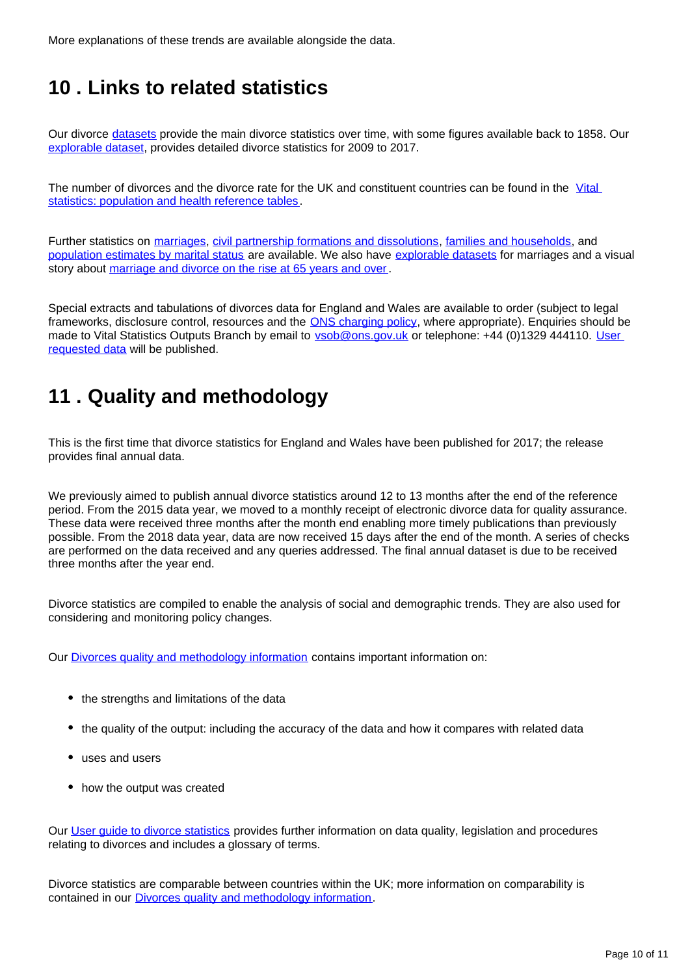More explanations of these trends are available alongside the data.

# <span id="page-9-0"></span>**10 . Links to related statistics**

Our divorce [datasets](https://www.ons.gov.uk/peoplepopulationandcommunity/birthsdeathsandmarriages/divorce/datasets/divorcesinenglandandwales) provide the main divorce statistics over time, with some figures available back to 1858. Our [explorable dataset](https://www.nomisweb.co.uk/query/select/getdatasetbytheme.asp?theme=73), provides detailed divorce statistics for 2009 to 2017.

The number of divorces and the divorce rate for the UK and constituent countries can be found in the Vital [statistics: population and health reference tables](http://www.ons.gov.uk/peoplepopulationandcommunity/populationandmigration/populationestimates/datasets/vitalstatisticspopulationandhealthreferencetables).

Further statistics on [marriages,](https://www.ons.gov.uk/peoplepopulationandcommunity/birthsdeathsandmarriages/marriagecohabitationandcivilpartnerships/bulletins/marriagesinenglandandwalesprovisional/previousReleases) [civil partnership formations and dissolutions,](http://www.ons.gov.uk/peoplepopulationandcommunity/birthsdeathsandmarriages/marriagecohabitationandcivilpartnerships/bulletins/civilpartnershipsinenglandandwales/previousReleases) [families and households](http://www.ons.gov.uk/peoplepopulationandcommunity/birthsdeathsandmarriages/families/bulletins/familiesandhouseholds/previousReleases), and [population estimates by marital status](http://www.ons.gov.uk/peoplepopulationandcommunity/populationandmigration/populationestimates/bulletins/populationestimatesbymaritalstatusandlivingarrangements/previousReleases) are available. We also have [explorable datasets](https://www.nomisweb.co.uk/query/select/getdatasetbytheme.asp?theme=73) for marriages and a visual story about [marriage and divorce on the rise at 65 years and over](https://www.ons.gov.uk/peoplepopulationandcommunity/birthsdeathsandmarriages/marriagecohabitationandcivilpartnerships/articles/marriageanddivorceontheriseat65andover/2017-07-18).

Special extracts and tabulations of divorces data for England and Wales are available to order (subject to legal frameworks, disclosure control, resources and the **ONS** charging policy, where appropriate). Enquiries should be made to Vital Statistics Outputs Branch by email to **ysob@ons.gov.uk** or telephone: +44 (0)1329 444110. User [requested data](https://www.ons.gov.uk/peoplepopulationandcommunity/birthsdeathsandmarriages/divorce/datalist?sortBy=release_date&query=&filter=user_requested_data&fromDate=&toDate=) will be published.

# <span id="page-9-1"></span>**11 . Quality and methodology**

This is the first time that divorce statistics for England and Wales have been published for 2017; the release provides final annual data.

We previously aimed to publish annual divorce statistics around 12 to 13 months after the end of the reference period. From the 2015 data year, we moved to a monthly receipt of electronic divorce data for quality assurance. These data were received three months after the month end enabling more timely publications than previously possible. From the 2018 data year, data are now received 15 days after the end of the month. A series of checks are performed on the data received and any queries addressed. The final annual dataset is due to be received three months after the year end.

Divorce statistics are compiled to enable the analysis of social and demographic trends. They are also used for considering and monitoring policy changes.

Our [Divorces quality and methodology information](https://www.ons.gov.uk/peoplepopulationandcommunity/birthsdeathsandmarriages/divorce/methodologies/divorcesinenglandandwalesqmi) contains important information on:

- the strengths and limitations of the data
- the quality of the output: including the accuracy of the data and how it compares with related data
- uses and users
- how the output was created

Our [User guide to divorce statistics](https://www.ons.gov.uk/peoplepopulationandcommunity/birthsdeathsandmarriages/divorce/methodologies/userguidetodivorcestatistics) provides further information on data quality, legislation and procedures relating to divorces and includes a glossary of terms.

Divorce statistics are comparable between countries within the UK; more information on comparability is contained in our [Divorces quality and methodology information](https://www.ons.gov.uk/peoplepopulationandcommunity/birthsdeathsandmarriages/divorce/methodologies/divorcesinenglandandwalesqmi).